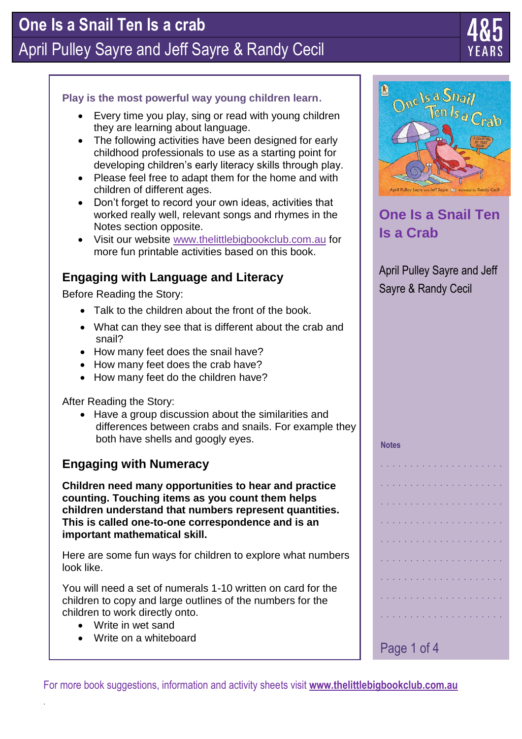# **One Is a Snail Ten Is a crab** April Pulley Sayre and Jeff Sayre & Randy Cecil



#### **Play is the most powerful way young children learn**.

- Every time you play, sing or read with young children they are learning about language.
- The following activities have been designed for early childhood professionals to use as a starting point for developing children's early literacy skills through play.
- Please feel free to adapt them for the home and with children of different ages.
- Don't forget to record your own ideas, activities that worked really well, relevant songs and rhymes in the Notes section opposite.
- Visit our website [www.thelittlebigbookclub.com.](http://www.thelittlebigbookclub.com/)au for more fun printable activities based on this book.

### **Engaging with Language and Literacy**

Before Reading the Story:

- Talk to the children about the front of the book.
- What can they see that is different about the crab and snail?
- How many feet does the snail have?
- How many feet does the crab have?
- How many feet do the children have?

After Reading the Story:

 Have a group discussion about the similarities and differences between crabs and snails. For example they both have shells and googly eyes.

### **Engaging with Numeracy**

**Children need many opportunities to hear and practice counting. Touching items as you count them helps children understand that numbers represent quantities. This is called one-to-one correspondence and is an important mathematical skill.**

Here are some fun ways for children to explore what numbers look like.

You will need a set of numerals 1-10 written on card for the children to copy and large outlines of the numbers for the children to work directly onto.

Write in wet sand

.

Write on a whiteboard

One Is a Snail Ten  $l$ s $_{\partial}$ 

### **One Is a Snail Ten Is a Crab**

April Pulley Sayre and Jeff Sayre & Randy Cecil

#### **Notes**

Page 1 of 4 . . . . . . . . . . . . . . . . . . . . . . . . . . . . . . . . . . . . . . . . . . . . . . . . . . . . . . . . . . . . . . . . . . . . . . . . . . . . . . . . . . . . . . . . . . . . . . . . . . . . . . . . . . . . . . . . . . . . . . . . . . . . . . . . . . . . . . . . . . . . . . . . . . . . . . . . . . . . . . . . . . . . . . . . . . . . . . . . . . . . . . . . . . . . .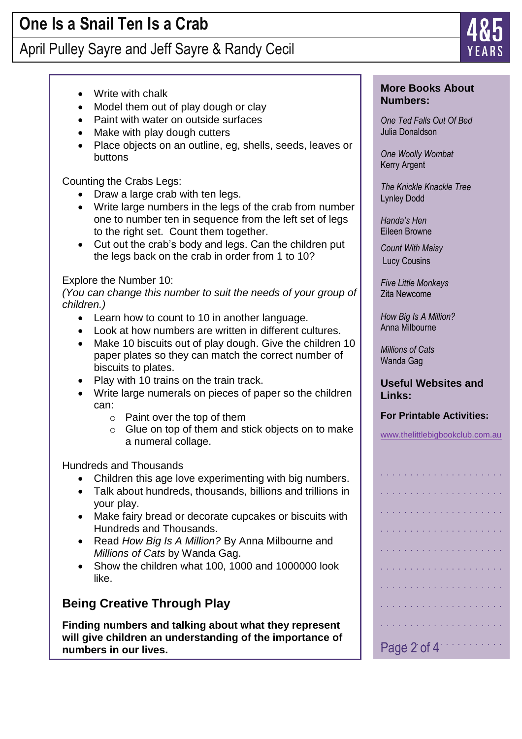## April Pulley Sayre and Jeff Sayre & Randy Cecil

- Write with chalk
- Model them out of play dough or clay
- Paint with water on outside surfaces
- Make with play dough cutters
- Place objects on an outline, eg, shells, seeds, leaves or buttons

Counting the Crabs Legs:

- Draw a large crab with ten legs.
- Write large numbers in the legs of the crab from number one to number ten in sequence from the left set of legs to the right set. Count them together.
- Cut out the crab's body and legs. Can the children put the legs back on the crab in order from 1 to 10?

#### Explore the Number 10:

*(You can change this number to suit the needs of your group of children.)*

- Learn how to count to 10 in another language.
- Look at how numbers are written in different cultures.
- Make 10 biscuits out of play dough. Give the children 10 paper plates so they can match the correct number of biscuits to plates.
- Play with 10 trains on the train track.
- Write large numerals on pieces of paper so the children can:
	- o Paint over the top of them
	- o Glue on top of them and stick objects on to make a numeral collage.

Hundreds and Thousands

- Children this age love experimenting with big numbers.
- Talk about hundreds, thousands, billions and trillions in your play.
- Make fairy bread or decorate cupcakes or biscuits with Hundreds and Thousands.
- Read *How Big Is A Million?* By Anna Milbourne and *Millions of Cats* by Wanda Gag.
- Show the children what 100, 1000 and 1000000 look like.

### **Being Creative Through Play**

**Finding numbers and talking about what they represent will give children an understanding of the importance of numbers in our lives.**

#### **More Books About Numbers:**

*One Ted Falls Out Of Bed* Julia Donaldson

*One Woolly Wombat* Kerry Argent

*The Knickle Knackle Tree* Lynley Dodd

*Handa's Hen* Eileen Browne

*Count With Maisy* Lucy Cousins

*Five Little Monkeys*  Zita Newcome

*How Big Is A Million?* Anna Milbourne

*Millions of Cats* Wanda Gag

**Useful Websites and Links:**

#### **For Printable Activities:**

www.thelittlebigbookclub.com.au

|  |  |  |  | Page 2 of 4 |  |  |  |  |  |  |
|--|--|--|--|-------------|--|--|--|--|--|--|

. . . . . . . . . . . . . . . . . . . . .

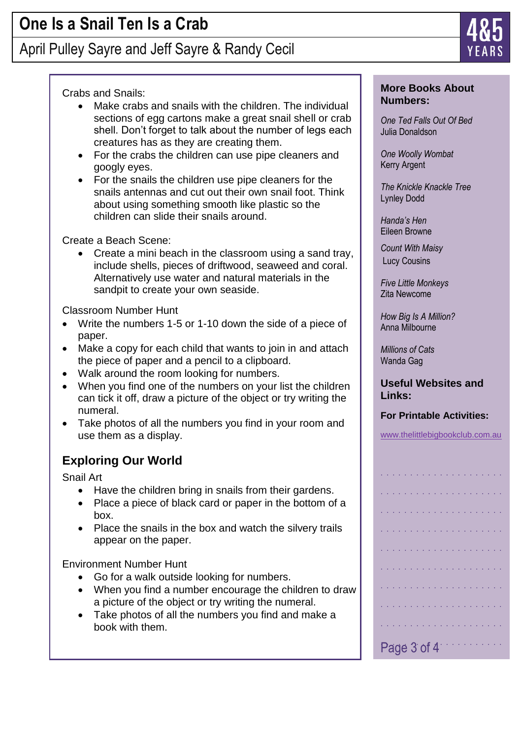## April Pulley Sayre and Jeff Sayre & Randy Cecil

#### Crabs and Snails:

- Make crabs and snails with the children. The individual sections of egg cartons make a great snail shell or crab shell. Don't forget to talk about the number of legs each creatures has as they are creating them.
- For the crabs the children can use pipe cleaners and googly eyes.
- For the snails the children use pipe cleaners for the snails antennas and cut out their own snail foot. Think about using something smooth like plastic so the children can slide their snails around.

Create a Beach Scene:

 Create a mini beach in the classroom using a sand tray, include shells, pieces of driftwood, seaweed and coral. Alternatively use water and natural materials in the sandpit to create your own seaside.

Classroom Number Hunt

- Write the numbers 1-5 or 1-10 down the side of a piece of paper.
- Make a copy for each child that wants to join in and attach the piece of paper and a pencil to a clipboard.
- Walk around the room looking for numbers.
- When you find one of the numbers on your list the children can tick it off, draw a picture of the object or try writing the numeral.
- Take photos of all the numbers you find in your room and use them as a display.

### **Exploring Our World**

Snail Art

- Have the children bring in snails from their gardens.
- Place a piece of black card or paper in the bottom of a box.
- Place the snails in the box and watch the silvery trails appear on the paper.

Environment Number Hunt

- Go for a walk outside looking for numbers.
- When you find a number encourage the children to draw a picture of the object or try writing the numeral.
- Take photos of all the numbers you find and make a book with them.



*One Ted Falls Out Of Bed* Julia Donaldson

*One Woolly Wombat* Kerry Argent

*The Knickle Knackle Tree* Lynley Dodd

*Handa's Hen* Eileen Browne

*Count With Maisy* Lucy Cousins

*Five Little Monkeys*  Zita Newcome

*How Big Is A Million?* Anna Milbourne

*Millions of Cats* Wanda Gag

**Useful Websites and Links:**

#### **For Printable Activities:**

www.thelittlebigbookclub.com.au

|  |  |  |  | Page 3 of 4 |  |  |  |  |  |  |
|--|--|--|--|-------------|--|--|--|--|--|--|

. . . . . . . . . . . . . . . . . . . . .